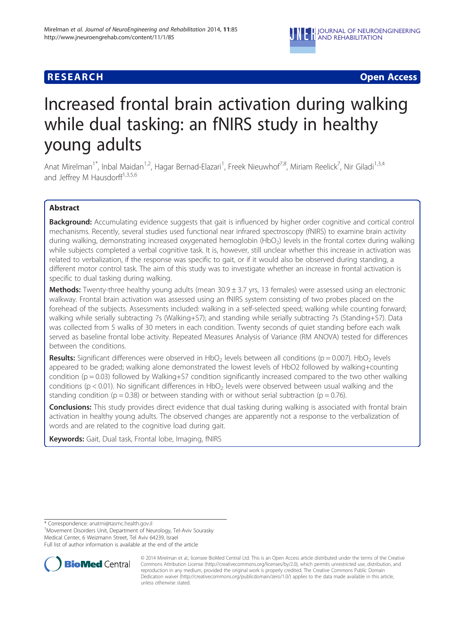

# **RESEARCH CHINESE ARCH CHINESE ARCH CHINESE ARCH <b>CHINESE ARCH**

# Increased frontal brain activation during walking while dual tasking: an fNIRS study in healthy young adults

Anat Mirelman<sup>1\*</sup>, Inbal Maidan<sup>1,2</sup>, Hagar Bernad-Elazari<sup>1</sup>, Freek Nieuwhof<sup>7,8</sup>, Miriam Reelick<sup>7</sup>, Nir Giladi<sup>1,3,4</sup> and Jeffrey M Hausdorff<sup>1,3,5,6</sup>

# Abstract

Background: Accumulating evidence suggests that gait is influenced by higher order cognitive and cortical control mechanisms. Recently, several studies used functional near infrared spectroscopy (fNIRS) to examine brain activity during walking, demonstrating increased oxygenated hemoglobin (HbO<sub>2</sub>) levels in the frontal cortex during walking while subjects completed a verbal cognitive task. It is, however, still unclear whether this increase in activation was related to verbalization, if the response was specific to gait, or if it would also be observed during standing, a different motor control task. The aim of this study was to investigate whether an increase in frontal activation is specific to dual tasking during walking.

Methods: Twenty-three healthy young adults (mean 30.9 ± 3.7 yrs, 13 females) were assessed using an electronic walkway. Frontal brain activation was assessed using an fNIRS system consisting of two probes placed on the forehead of the subjects. Assessments included: walking in a self-selected speed; walking while counting forward; walking while serially subtracting 7s (Walking+S7); and standing while serially subtracting 7s (Standing+S7). Data was collected from 5 walks of 30 meters in each condition. Twenty seconds of quiet standing before each walk served as baseline frontal lobe activity. Repeated Measures Analysis of Variance (RM ANOVA) tested for differences between the conditions.

**Results:** Significant differences were observed in HbO<sub>2</sub> levels between all conditions ( $p = 0.007$ ). HbO<sub>2</sub> levels appeared to be graded; walking alone demonstrated the lowest levels of HbO2 followed by walking+counting condition ( $p = 0.03$ ) followed by Walking+S7 condition significantly increased compared to the two other walking conditions ( $p < 0.01$ ). No significant differences in HbO<sub>2</sub> levels were observed between usual walking and the standing condition ( $p = 0.38$ ) or between standing with or without serial subtraction ( $p = 0.76$ ).

**Conclusions:** This study provides direct evidence that dual tasking during walking is associated with frontal brain activation in healthy young adults. The observed changes are apparently not a response to the verbalization of words and are related to the cognitive load during gait.

Keywords: Gait, Dual task, Frontal lobe, Imaging, fNIRS

<sup>1</sup> Movement Disorders Unit, Department of Neurology, Tel-Aviv Sourasky Medical Center, 6 Weizmann Street, Tel Aviv 64239, Israel

Full list of author information is available at the end of the article



© 2014 Mirelman et al.; licensee BioMed Central Ltd. This is an Open Access article distributed under the terms of the Creative Commons Attribution License [\(http://creativecommons.org/licenses/by/2.0\)](http://creativecommons.org/licenses/by/2.0), which permits unrestricted use, distribution, and reproduction in any medium, provided the original work is properly credited. The Creative Commons Public Domain Dedication waiver [\(http://creativecommons.org/publicdomain/zero/1.0/](http://creativecommons.org/publicdomain/zero/1.0/)) applies to the data made available in this article, unless otherwise stated.

<sup>\*</sup> Correspondence: [anatmi@tasmc.health.gov.il](mailto:anatmi@tasmc.health.gov.il) <sup>1</sup>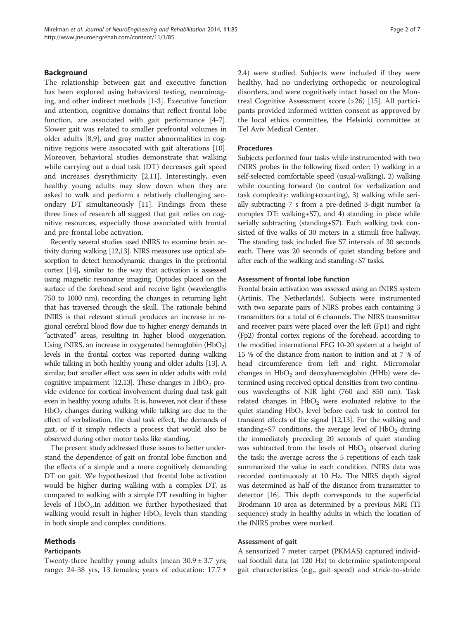The relationship between gait and executive function has been explored using behavioral testing, neuroimaging, and other indirect methods [[1-3](#page-6-0)]. Executive function and attention, cognitive domains that reflect frontal lobe function, are associated with gait performance [[4-7](#page-6-0)]. Slower gait was related to smaller prefrontal volumes in older adults [\[8,9](#page-6-0)], and gray matter abnormalities in cognitive regions were associated with gait alterations [\[10](#page-6-0)]. Moreover, behavioral studies demonstrate that walking while carrying out a dual task (DT) decreases gait speed and increases dysrythmicity [[2,11\]](#page-6-0). Interestingly, even healthy young adults may slow down when they are asked to walk and perform a relatively challenging secondary DT simultaneously [[11\]](#page-6-0). Findings from these three lines of research all suggest that gait relies on cognitive resources, especially those associated with frontal and pre-frontal lobe activation.

Recently several studies used fNIRS to examine brain activity during walking [\[12,13\]](#page-6-0). NIRS measures use optical absorption to detect hemodynamic changes in the prefrontal cortex [\[14\]](#page-6-0), similar to the way that activation is assessed using magnetic resonance imaging. Optodes placed on the surface of the forehead send and receive light (wavelengths 750 to 1000 nm), recording the changes in returning light that has traversed through the skull. The rationale behind fNIRS is that relevant stimuli produces an increase in regional cerebral blood flow due to higher energy demands in "activated" areas, resulting in higher blood oxygenation. Using fNIRS, an increase in oxygenated hemoglobin  $(HbO<sub>2</sub>)$ levels in the frontal cortex was reported during walking while talking in both healthy young and older adults [\[13\]](#page-6-0). A similar, but smaller effect was seen in older adults with mild cognitive impairment [\[12,13](#page-6-0)]. These changes in  $HbO<sub>2</sub>$  provide evidence for cortical involvement during dual task gait even in healthy young adults. It is, however, not clear if these  $HbO<sub>2</sub>$  changes during walking while talking are due to the effect of verbalization, the dual task effect, the demands of gait, or if it simply reflects a process that would also be observed during other motor tasks like standing.

The present study addressed these issues to better understand the dependence of gait on frontal lobe function and the effects of a simple and a more cognitively demanding DT on gait. We hypothesized that frontal lobe activation would be higher during walking with a complex DT, as compared to walking with a simple DT resulting in higher levels of  $HbO<sub>2</sub>$ . In addition we further hypothesized that walking would result in higher  $HbO<sub>2</sub>$  levels than standing in both simple and complex conditions.

# Methods

#### Participants

Twenty-three healthy young adults (mean  $30.9 \pm 3.7$  yrs; range: 24-38 yrs, 13 females; years of education:  $17.7 \pm$ 

2.4) were studied. Subjects were included if they were healthy, had no underlying orthopedic or neurological disorders, and were cognitively intact based on the Montreal Cognitive Assessment score (>26) [\[15](#page-6-0)]. All participants provided informed written consent as approved by the local ethics committee, the Helsinki committee at Tel Aviv Medical Center.

#### Procedures

Subjects performed four tasks while instrumented with two fNIRS probes in the following fixed order: 1) walking in a self-selected comfortable speed (usual-walking), 2) walking while counting forward (to control for verbalization and task complexity: walking+counting), 3) walking while serially subtracting 7 s from a pre-defined 3-digit number (a complex DT: walking+S7), and 4) standing in place while serially subtracting (standing+S7). Each walking task consisted of five walks of 30 meters in a stimuli free hallway. The standing task included five S7 intervals of 30 seconds each. There was 20 seconds of quiet standing before and after each of the walking and standing+S7 tasks.

#### Assessment of frontal lobe function

Frontal brain activation was assessed using an fNIRS system (Artinis, The Netherlands). Subjects were instrumented with two separate pairs of NIRS probes each containing 3 transmitters for a total of 6 channels. The NIRS transmitter and receiver pairs were placed over the left (Fp1) and right (Fp2) frontal cortex regions of the forehead, according to the modified international EEG 10-20 system at a height of 15 % of the distance from nasion to inition and at 7 % of head circumference from left and right. Micromolar changes in  $HbO<sub>2</sub>$  and deoxyhaemoglobin (HHb) were determined using received optical densities from two continuous wavelengths of NIR light (760 and 850 nm). Task related changes in  $HbO<sub>2</sub>$  were evaluated relative to the quiet standing  $HbO<sub>2</sub>$  level before each task to control for transient effects of the signal [[12,13](#page-6-0)]. For the walking and standing+S7 conditions, the average level of  $HbO<sub>2</sub>$  during the immediately preceding 20 seconds of quiet standing was subtracted from the levels of  $HbO<sub>2</sub>$  observed during the task; the average across the 5 repetitions of each task summarized the value in each condition. fNIRS data was recorded continuously at 10 Hz. The NIRS depth signal was determined as half of the distance from transmitter to detector [\[16\]](#page-6-0). This depth corresponds to the superficial Brodmann 10 area as determined by a previous MRI (TI sequence) study in healthy adults in which the location of the fNIRS probes were marked.

#### Assessment of gait

A sensorized 7 meter carpet (PKMAS) captured individual footfall data (at 120 Hz) to determine spatiotemporal gait characteristics (e.g., gait speed) and stride-to-stride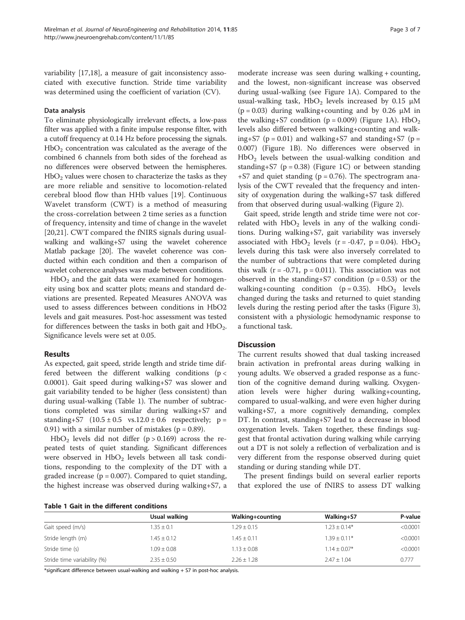variability [[17](#page-6-0),[18](#page-6-0)], a measure of gait inconsistency associated with executive function. Stride time variability was determined using the coefficient of variation (CV).

#### Data analysis

To eliminate physiologically irrelevant effects, a low-pass filter was applied with a finite impulse response filter, with a cutoff frequency at 0.14 Hz before processing the signals.  $HbO<sub>2</sub>$  concentration was calculated as the average of the combined 6 channels from both sides of the forehead as no differences were observed between the hemispheres.  $HbO<sub>2</sub>$  values were chosen to characterize the tasks as they are more reliable and sensitive to locomotion-related cerebral blood flow than HHb values [\[19](#page-6-0)]. Continuous Wavelet transform (CWT) is a method of measuring the cross-correlation between 2 time series as a function of frequency, intensity and time of change in the wavelet [[20,21](#page-6-0)]. CWT compared the fNIRS signals during usualwalking and walking+S7 using the wavelet coherence Matlab package [\[20\]](#page-6-0). The wavelet coherence was conducted within each condition and then a comparison of wavelet coherence analyses was made between conditions.

 $HbO<sub>2</sub>$  and the gait data were examined for homogeneity using box and scatter plots; means and standard deviations are presented. Repeated Measures ANOVA was used to assess differences between conditions in HbO2 levels and gait measures. Post-hoc assessment was tested for differences between the tasks in both gait and  $HbO<sub>2</sub>$ . Significance levels were set at 0.05.

# Results

As expected, gait speed, stride length and stride time differed between the different walking conditions ( $p <$ 0.0001). Gait speed during walking+S7 was slower and gait variability tended to be higher (less consistent) than during usual-walking (Table 1). The number of subtractions completed was similar during walking+S7 and standing+S7  $(10.5 \pm 0.5 \text{ vs. } 12.0 \pm 0.6 \text{ respectively}; \text{ p} =$ 0.91) with a similar number of mistakes ( $p = 0.89$ ).

 $HbO<sub>2</sub>$  levels did not differ (p > 0.169) across the repeated tests of quiet standing. Significant differences were observed in  $HbO<sub>2</sub>$  levels between all task conditions, responding to the complexity of the DT with a graded increase ( $p = 0.007$ ). Compared to quiet standing, the highest increase was observed during walking+S7, a

Table 1 Gait in the different conditions

moderate increase was seen during walking + counting, and the lowest, non-significant increase was observed during usual-walking (see Figure [1](#page-3-0)A). Compared to the usual-walking task,  $HbO<sub>2</sub>$  levels increased by 0.15  $\mu$ M  $(p = 0.03)$  during walking+counting and by 0.26  $\mu$ M in the walking+S7 condition ( $p = 0.009$ ) (Figure [1A](#page-3-0)). HbO<sub>2</sub> levels also differed between walking+counting and walking+S7 ( $p = 0.01$ ) and walking+S7 and standing+S7 ( $p =$ 0.007) (Figure [1B](#page-3-0)). No differences were observed in HbO2 levels between the usual-walking condition and standing+S7 ( $p = 0.38$ ) (Figure [1](#page-3-0)C) or between standing  $+$ S7 and quiet standing ( $p = 0.76$ ). The spectrogram analysis of the CWT revealed that the frequency and intensity of oxygenation during the walking+S7 task differed from that observed during usual-walking (Figure [2\)](#page-3-0).

Gait speed, stride length and stride time were not correlated with  $HbO<sub>2</sub>$  levels in any of the walking conditions. During walking+S7, gait variability was inversely associated with  $HbO<sub>2</sub>$  levels (r = -0.47, p = 0.04).  $HbO<sub>2</sub>$ levels during this task were also inversely correlated to the number of subtractions that were completed during this walk  $(r = -0.71, p = 0.011)$ . This association was not observed in the standing+S7 condition ( $p = 0.53$ ) or the walking+counting condition ( $p = 0.35$ ). HbO<sub>2</sub> levels changed during the tasks and returned to quiet standing levels during the resting period after the tasks (Figure [3](#page-4-0)), consistent with a physiologic hemodynamic response to a functional task.

# **Discussion**

The current results showed that dual tasking increased brain activation in prefrontal areas during walking in young adults. We observed a graded response as a function of the cognitive demand during walking. Oxygenation levels were higher during walking+counting, compared to usual-walking, and were even higher during walking+S7, a more cognitively demanding, complex DT. In contrast, standing+S7 lead to a decrease in blood oxygenation levels. Taken together, these findings suggest that frontal activation during walking while carrying out a DT is not solely a reflection of verbalization and is very different from the response observed during quiet standing or during standing while DT.

The present findings build on several earlier reports that explored the use of fNIRS to assess DT walking

|                             | Usual walking   | Walking+counting | Walking+S7       | P-value  |
|-----------------------------|-----------------|------------------|------------------|----------|
| Gait speed (m/s)            | $.35 + 0.1$     | $1.29 \pm 0.15$  | $1.23 + 0.14*$   | < 0.0001 |
| Stride length (m)           | $1.45 \pm 0.12$ | $1.45 \pm 0.11$  | $1.39 \pm 0.11*$ | < 0.0001 |
| Stride time (s)             | $1.09 \pm 0.08$ | $1.13 \pm 0.08$  | $1.14 + 0.07*$   | < 0.0001 |
| Stride time variability (%) | $2.35 \pm 0.50$ | $2.26 + 1.28$    | $7.47 + 1.04$    | 0.777    |

\*significant difference between usual-walking and walking + S7 in post-hoc analysis.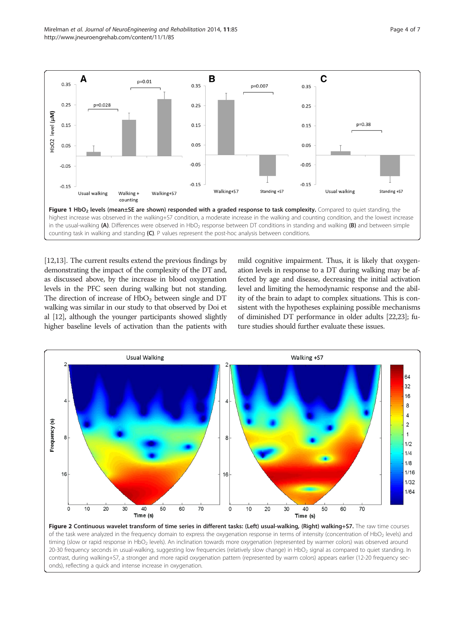<span id="page-3-0"></span>Mirelman et al. Journal of NeuroEngineering and Rehabilitation 2014, 11:85 Page 4 of 7 http://www.jneuroengrehab.com/content/11/1/85



[[12,13\]](#page-6-0). The current results extend the previous findings by demonstrating the impact of the complexity of the DT and, as discussed above, by the increase in blood oxygenation levels in the PFC seen during walking but not standing. The direction of increase of  $HbO<sub>2</sub>$  between single and DT walking was similar in our study to that observed by Doi et al [\[12\]](#page-6-0), although the younger participants showed slightly higher baseline levels of activation than the patients with mild cognitive impairment. Thus, it is likely that oxygenation levels in response to a DT during walking may be affected by age and disease, decreasing the initial activation level and limiting the hemodynamic response and the ability of the brain to adapt to complex situations. This is consistent with the hypotheses explaining possible mechanisms of diminished DT performance in older adults [[22,23\]](#page-6-0); future studies should further evaluate these issues.



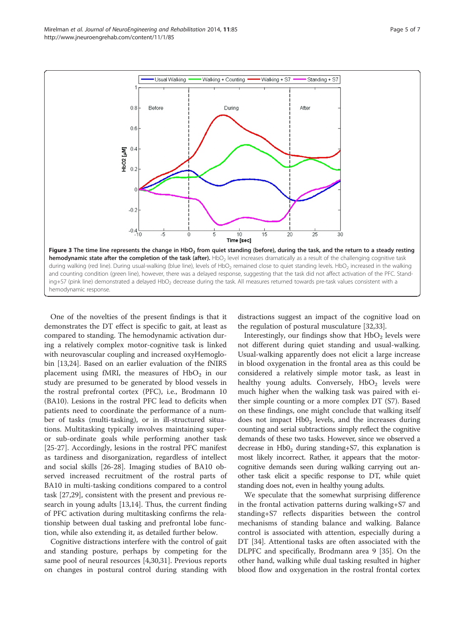<span id="page-4-0"></span>

One of the novelties of the present findings is that it demonstrates the DT effect is specific to gait, at least as compared to standing. The hemodynamic activation during a relatively complex motor-cognitive task is linked with neurovascular coupling and increased oxyHemoglobin [[13](#page-6-0),[24](#page-6-0)]. Based on an earlier evaluation of the fNIRS placement using fMRI, the measures of  $HbO<sub>2</sub>$  in our study are presumed to be generated by blood vessels in the rostral prefrontal cortex (PFC), i.e., Brodmann 10 (BA10). Lesions in the rostral PFC lead to deficits when patients need to coordinate the performance of a number of tasks (multi-tasking), or in ill-structured situations. Multitasking typically involves maintaining superor sub-ordinate goals while performing another task [[25-27](#page-6-0)]. Accordingly, lesions in the rostral PFC manifest as tardiness and disorganization, regardless of intellect and social skills [\[26](#page-6-0)-[28](#page-6-0)]. Imaging studies of BA10 observed increased recruitment of the rostral parts of BA10 in multi-tasking conditions compared to a control task [\[27,29\]](#page-6-0), consistent with the present and previous research in young adults [[13,14\]](#page-6-0). Thus, the current finding of PFC activation during multitasking confirms the relationship between dual tasking and prefrontal lobe function, while also extending it, as detailed further below.

Cognitive distractions interfere with the control of gait and standing posture, perhaps by competing for the same pool of neural resources [\[4,30,31](#page-6-0)]. Previous reports on changes in postural control during standing with distractions suggest an impact of the cognitive load on the regulation of postural musculature [[32,33](#page-6-0)].

Interestingly, our findings show that  $HbO<sub>2</sub>$  levels were not different during quiet standing and usual-walking. Usual-walking apparently does not elicit a large increase in blood oxygenation in the frontal area as this could be considered a relatively simple motor task, as least in healthy young adults. Conversely,  $HbO<sub>2</sub>$  levels were much higher when the walking task was paired with either simple counting or a more complex DT (S7). Based on these findings, one might conclude that walking itself does not impact  $HbO<sub>2</sub>$  levels, and the increases during counting and serial subtractions simply reflect the cognitive demands of these two tasks. However, since we observed a decrease in  $HbO<sub>2</sub>$  during standing+S7, this explanation is most likely incorrect. Rather, it appears that the motorcognitive demands seen during walking carrying out another task elicit a specific response to DT, while quiet standing does not, even in healthy young adults.

We speculate that the somewhat surprising difference in the frontal activation patterns during walking+S7 and standing+S7 reflects disparities between the control mechanisms of standing balance and walking. Balance control is associated with attention, especially during a DT [\[34](#page-6-0)]. Attentional tasks are often associated with the DLPFC and specifically, Brodmann area 9 [\[35\]](#page-6-0). On the other hand, walking while dual tasking resulted in higher blood flow and oxygenation in the rostral frontal cortex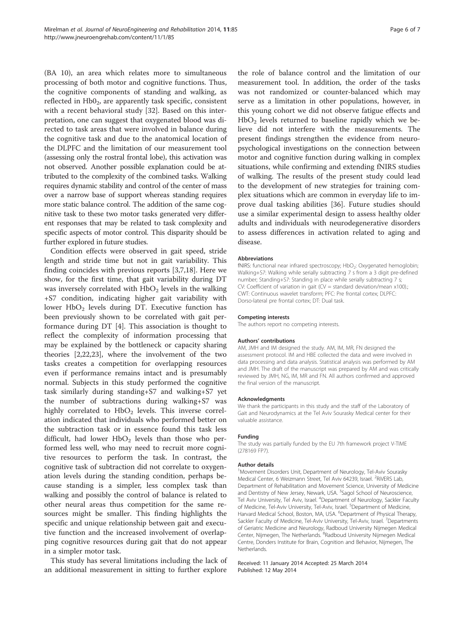(BA 10), an area which relates more to simultaneous processing of both motor and cognitive functions. Thus, the cognitive components of standing and walking, as reflected in  $Hb0<sub>2</sub>$ , are apparently task specific, consistent with a recent behavioral study [\[32](#page-6-0)]. Based on this interpretation, one can suggest that oxygenated blood was directed to task areas that were involved in balance during the cognitive task and due to the anatomical location of the DLPFC and the limitation of our measurement tool (assessing only the rostral frontal lobe), this activation was not observed. Another possible explanation could be attributed to the complexity of the combined tasks. Walking requires dynamic stability and control of the center of mass over a narrow base of support whereas standing requires more static balance control. The addition of the same cognitive task to these two motor tasks generated very different responses that may be related to task complexity and specific aspects of motor control. This disparity should be further explored in future studies.

Condition effects were observed in gait speed, stride length and stride time but not in gait variability. This finding coincides with previous reports [[3,7,18\]](#page-6-0). Here we show, for the first time, that gait variability during DT was inversely correlated with  $HbO<sub>2</sub>$  levels in the walking +S7 condition, indicating higher gait variability with lower  $HbO<sub>2</sub>$  levels during DT. Executive function has been previously shown to be correlated with gait performance during DT [[4\]](#page-6-0). This association is thought to reflect the complexity of information processing that may be explained by the bottleneck or capacity sharing theories [\[2,22,23\]](#page-6-0), where the involvement of the two tasks creates a competition for overlapping resources even if performance remains intact and is presumably normal. Subjects in this study performed the cognitive task similarly during standing+S7 and walking+S7 yet the number of subtractions during walking+S7 was highly correlated to  $HbO<sub>2</sub>$  levels. This inverse correlation indicated that individuals who performed better on the subtraction task or in essence found this task less difficult, had lower  $HbO<sub>2</sub>$  levels than those who performed less well, who may need to recruit more cognitive resources to perform the task. In contrast, the cognitive task of subtraction did not correlate to oxygenation levels during the standing condition, perhaps because standing is a simpler, less complex task than walking and possibly the control of balance is related to other neural areas thus competition for the same resources might be smaller. This finding highlights the specific and unique relationship between gait and executive function and the increased involvement of overlapping cognitive resources during gait that do not appear in a simpler motor task.

This study has several limitations including the lack of an additional measurement in sitting to further explore

the role of balance control and the limitation of our measurement tool. In addition, the order of the tasks was not randomized or counter-balanced which may serve as a limitation in other populations, however, in this young cohort we did not observe fatigue effects and  $HbO<sub>2</sub>$  levels returned to baseline rapidly which we believe did not interfere with the measurements. The present findings strengthen the evidence from neuropsychological investigations on the connection between motor and cognitive function during walking in complex situations, while confirming and extending fNIRS studies of walking. The results of the present study could lead to the development of new strategies for training complex situations which are common in everyday life to improve dual tasking abilities [[36\]](#page-6-0). Future studies should use a similar experimental design to assess healthy older adults and individuals with neurodegenerative disorders to assess differences in activation related to aging and disease.

#### Abbreviations

fNIRS: functional near infrared spectroscopy; HbO<sub>2</sub>: Oxygenated hemoglobin; Walking+S7: Walking while serially subtracting 7 s from a 3 digit pre-defined number; Standing+S7: Standing in place while serially subtracting 7 s; CV: Coefficient of variation in gait (CV = standard deviation/mean  $x100$ ).; CWT: Continuous wavelet transform; PFC: Pre frontal cortex; DLPFC: Dorso-lateral pre frontal cortex; DT: Dual task.

#### Competing interests

The authors report no competing interests.

#### Authors' contributions

AM, JMH and IM designed the study. AM, IM, MR, FN designed the assessment protocol. IM and HBE collected the data and were involved in data processing and data analysis. Statistical analysis was performed by AM and JMH. The draft of the manuscript was prepared by AM and was critically reviewed by JMH, NG, IM, MR and FN. All authors confirmed and approved the final version of the manuscript.

#### Acknowledgments

We thank the participants in this study and the staff of the Laboratory of Gait and Neurodynamics at the Tel Aviv Sourasky Medical center for their valuable assistance.

#### Funding

The study was partially funded by the EU 7th framework project V-TIME (278169 FP7).

#### Author details

<sup>1</sup>Movement Disorders Unit, Department of Neurology, Tel-Aviv Sourasky Medical Center, 6 Weizmann Street, Tel Aviv 64239, Israel. <sup>2</sup>RiVERS Lab, Department of Rehabilitation and Movement Science, University of Medicine and Dentistry of New Jersey, Newark, USA. <sup>3</sup>Sagol School of Neuroscience Tel Aviv University, Tel Aviv, Israel. <sup>4</sup>Department of Neurology, Sackler Faculty of Medicine, Tel-Aviv University, Tel-Aviv, Israel. <sup>5</sup>Department of Medicine, Harvard Medical School, Boston, MA, USA. <sup>6</sup>Department of Physical Therapy Sackler Faculty of Medicine, Tel-Aviv University, Tel-Aviv, Israel. <sup>7</sup>Departments of Geriatric Medicine and Neurology, Radboud University Nijmegen Medical Center, Nijmegen, The Netherlands. <sup>8</sup>Radboud University Nijmegen Medical Centre, Donders Institute for Brain, Cognition and Behavior, Nijmegen, The Netherlands.

#### Received: 11 January 2014 Accepted: 25 March 2014 Published: 12 May 2014